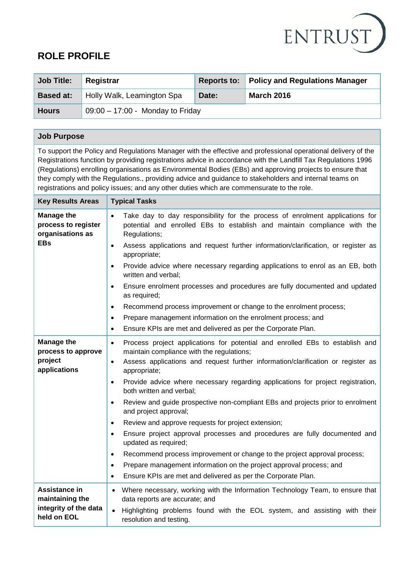

# **ROLE PROFILE**

| <b>Job Title:</b> | Registrar                          |       | Reports to: Policy and Regulations Manager |
|-------------------|------------------------------------|-------|--------------------------------------------|
| <b>Based at:</b>  | Holly Walk, Leamington Spa         | Date: | <b>March 2016</b>                          |
| <b>Hours</b>      | $09:00 - 17:00$ - Monday to Friday |       |                                            |

# **Job Purpose**

To support the Policy and Regulations Manager with the effective and professional operational delivery of the Registrations function by providing registrations advice in accordance with the Landfill Tax Regulations 1996 (Regulations) enrolling organisations as Environmental Bodies (EBs) and approving projects to ensure that they comply with the Regulations., providing advice and guidance to stakeholders and internal teams on registrations and policy issues; and any other duties which are commensurate to the role.

| <b>Key Results Areas</b>                                     | <b>Typical Tasks</b>                                                                                                                                                                  |  |
|--------------------------------------------------------------|---------------------------------------------------------------------------------------------------------------------------------------------------------------------------------------|--|
| <b>Manage the</b><br>process to register<br>organisations as | Take day to day responsibility for the process of enrolment applications for<br>$\bullet$<br>potential and enrolled EBs to establish and maintain compliance with the<br>Regulations; |  |
| <b>EBs</b>                                                   | Assess applications and request further information/clarification, or register as<br>$\bullet$<br>appropriate;                                                                        |  |
|                                                              | Provide advice where necessary regarding applications to enrol as an EB, both<br>$\bullet$<br>written and verbal:                                                                     |  |
|                                                              | Ensure enrolment processes and procedures are fully documented and updated<br>$\bullet$<br>as required;                                                                               |  |
|                                                              | Recommend process improvement or change to the enrolment process;<br>$\bullet$                                                                                                        |  |
|                                                              | Prepare management information on the enrolment process; and<br>$\bullet$                                                                                                             |  |
|                                                              | Ensure KPIs are met and delivered as per the Corporate Plan.<br>٠                                                                                                                     |  |
| <b>Manage the</b><br>process to approve                      | Process project applications for potential and enrolled EBs to establish and<br>$\bullet$<br>maintain compliance with the regulations;                                                |  |
| project<br>applications                                      | Assess applications and request further information/clarification or register as<br>$\bullet$<br>appropriate;                                                                         |  |
|                                                              | Provide advice where necessary regarding applications for project registration,<br>$\bullet$<br>both written and verbal;                                                              |  |
|                                                              | Review and guide prospective non-compliant EBs and projects prior to enrolment<br>$\bullet$<br>and project approval;                                                                  |  |
|                                                              | Review and approve requests for project extension;<br>$\bullet$                                                                                                                       |  |
|                                                              | Ensure project approval processes and procedures are fully documented and<br>$\bullet$<br>updated as required;                                                                        |  |
|                                                              | Recommend process improvement or change to the project approval process;<br>$\bullet$                                                                                                 |  |
|                                                              | Prepare management information on the project approval process; and<br>٠                                                                                                              |  |
|                                                              | Ensure KPIs are met and delivered as per the Corporate Plan.<br>$\bullet$                                                                                                             |  |
| Assistance in<br>maintaining the                             | Where necessary, working with the Information Technology Team, to ensure that<br>$\bullet$<br>data reports are accurate; and                                                          |  |
| integrity of the data<br>held on EOL                         | Highlighting problems found with the EOL system, and assisting with their<br>resolution and testing.                                                                                  |  |